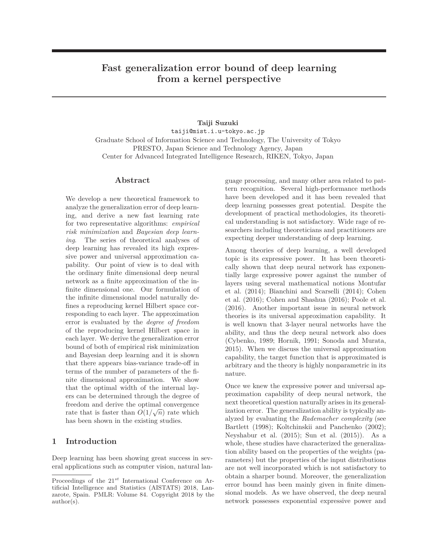# **Fast generalization error bound of deep learning from a kernel perspective**

**Taiji Suzuki** taiji@mist.i.u-tokyo.ac.jp Graduate School of Information Science and Technology, The University of Tokyo PRESTO, Japan Science and Technology Agency, Japan Center for Advanced Integrated Intelligence Research, RIKEN, Tokyo, Japan

### **Abstract**

We develop a new theoretical framework to analyze the generalization error of deep learning, and derive a new fast learning rate for two representative algorithms: *empirical risk minimization* and *Bayesian deep learning*. The series of theoretical analyses of deep learning has revealed its high expressive power and universal approximation capability. Our point of view is to deal with the ordinary finite dimensional deep neural network as a finite approximation of the infinite dimensional one. Our formulation of the infinite dimensional model naturally defines a reproducing kernel Hilbert space corresponding to each layer. The approximation error is evaluated by the *degree of freedom* of the reproducing kernel Hilbert space in each layer. We derive the generalization error bound of both of empirical risk minimization and Bayesian deep learning and it is shown that there appears bias-variance trade-off in terms of the number of parameters of the finite dimensional approximation. We show that the optimal width of the internal layers can be determined through the degree of freedom and derive the optimal convergence rate that is faster than  $O(1/\sqrt{n})$  rate which has been shown in the existing studies.

## **1 Introduction**

Deep learning has been showing great success in several applications such as computer vision, natural language processing, and many other area related to pattern recognition. Several high-performance methods have been developed and it has been revealed that deep learning possesses great potential. Despite the development of practical methodologies, its theoretical understanding is not satisfactory. Wide rage of researchers including theoreticians and practitioners are expecting deeper understanding of deep learning.

Among theories of deep learning, a well developed topic is its expressive power. It has been theoretically shown that deep neural network has exponentially large expressive power against the number of layers using several mathematical notions Montufar et al. (2014); Bianchini and Scarselli (2014); Cohen et al. (2016); Cohen and Shashua (2016); Poole et al. (2016). Another important issue in neural network theories is its universal approximation capability. It is well known that 3-layer neural networks have the ability, and thus the deep neural network also does (Cybenko, 1989; Hornik, 1991; Sonoda and Murata, 2015). When we discuss the universal approximation capability, the target function that is approximated is arbitrary and the theory is highly nonparametric in its nature.

Once we knew the expressive power and universal approximation capability of deep neural network, the next theoretical question naturally arises in its generalization error. The generalization ability is typically analyzed by evaluating the *Rademacher complexity* (see Bartlett (1998); Koltchinskii and Panchenko (2002); Neyshabur et al. (2015); Sun et al. (2015)). As a whole, these studies have characterized the generalization ability based on the properties of the weights (parameters) but the properties of the input distributions are not well incorporated which is not satisfactory to obtain a sharper bound. Moreover, the generalization error bound has been mainly given in finite dimensional models. As we have observed, the deep neural network possesses exponential expressive power and

Proceedings of the 21*st* International Conference on Artificial Intelligence and Statistics (AISTATS) 2018, Lanzarote, Spain. PMLR: Volume 84. Copyright 2018 by the author(s).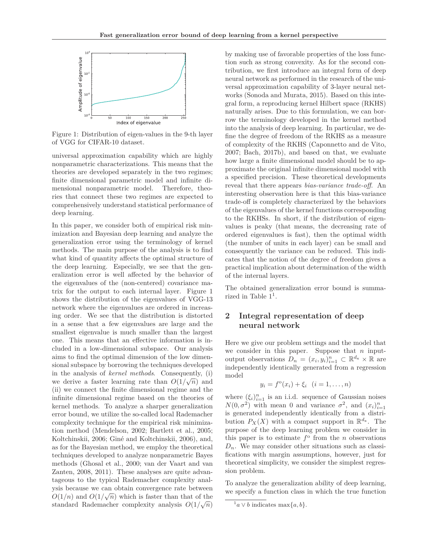

Figure 1: Distribution of eigen-values in the 9-th layer of VGG for CIFAR-10 dataset.

universal approximation capability which are highly nonparametric characterizations. This means that the theories are developed separately in the two regimes; finite dimensional parametric model and infinite dimensional nonparametric model. Therefore, theories that connect these two regimes are expected to comprehensively understand statistical performance of deep learning.

In this paper, we consider both of empirical risk minimization and Bayesian deep learning and analyze the generalization error using the terminology of kernel methods. The main purpose of the analysis is to find what kind of quantity affects the optimal structure of the deep learning. Especially, we see that the generalization error is well affected by the behavior of the eigenvalues of the (non-centered) covariance matrix for the output to each internal layer. Figure 1 shows the distribution of the eigenvalues of VGG-13 network where the eigenvalues are ordered in increasing order. We see that the distribution is distorted in a sense that a few eigenvalues are large and the smallest eigenvalue is much smaller than the largest one. This means that an effective information is included in a low-dimensional subspace. Our analysis aims to find the optimal dimension of the low dimensional subspace by borrowing the techniques developed in the analysis of *kernel methods*. Consequently, (i) we derive a faster learning rate than  $O(1/\sqrt{n})$  and (ii) we connect the finite dimensional regime and the infinite dimensional regime based on the theories of kernel methods. To analyze a sharper generalization error bound, we utilize the so-called local Rademacher complexity technique for the empirical risk minimization method (Mendelson, 2002; Bartlett et al., 2005; Koltchinskii, 2006; Giné and Koltchinskii, 2006), and, as for the Bayesian method, we employ the theoretical techniques developed to analyze nonparametric Bayes methods (Ghosal et al., 2000; van der Vaart and van Zanten, 2008, 2011). These analyses are quite advantageous to the typical Rademacher complexity analysis because we can obtain convergence rate between  $O(1/n)$  and  $O(1/\sqrt{n})$  which is faster than that of the standard Rademacher complexity analysis  $O(1/\sqrt{n})$ 

by making use of favorable properties of the loss function such as strong convexity. As for the second contribution, we first introduce an integral form of deep neural network as performed in the research of the universal approximation capability of 3-layer neural networks (Sonoda and Murata, 2015). Based on this integral form, a reproducing kernel Hilbert space (RKHS) naturally arises. Due to this formulation, we can borrow the terminology developed in the kernel method into the analysis of deep learning. In particular, we define the degree of freedom of the RKHS as a measure of complexity of the RKHS (Caponnetto and de Vito, 2007; Bach, 2017b), and based on that, we evaluate how large a finite dimensional model should be to approximate the original infinite dimensional model with a specified precision. These theoretical developments reveal that there appears *bias-variance trade-off*. An interesting observation here is that this bias-variance trade-off is completely characterized by the behaviors of the eigenvalues of the kernel functions corresponding to the RKHSs. In short, if the distribution of eigenvalues is peaky (that means, the decreasing rate of ordered eigenvalues is fast), then the optimal width (the number of units in each layer) can be small and consequently the variance can be reduced. This indicates that the notion of the degree of freedom gives a practical implication about determination of the width of the internal layers.

The obtained generalization error bound is summarized in Table  $1<sup>1</sup>$ .

# **2 Integral representation of deep neural network**

Here we give our problem settings and the model that we consider in this paper. Suppose that *n* inputoutput observations  $D_n = (x_i, y_i)_{i=1}^n \subset \mathbb{R}^{d_x} \times \mathbb{R}$  are independently identically generated from a regression model

$$
y_i = f^{\circ}(x_i) + \xi_i \quad (i = 1, ..., n)
$$

where  $(\xi_i)_{i=1}^n$  is an i.i.d. sequence of Gaussian noises  $N(0, \sigma^2)$  with mean 0 and variance  $\sigma^2$ , and  $(x_i)_{i=1}^n$ is generated independently identically from a distribution  $P_X(X)$  with a compact support in  $\mathbb{R}^{d_x}$ . The purpose of the deep learning problem we consider in this paper is to estimate  $f^{\circ}$  from the *n* observations  $D_n$ . We may consider other situations such as classifications with margin assumptions, however, just for theoretical simplicity, we consider the simplest regression problem.

To analyze the generalization ability of deep learning, we specify a function class in which the true function

 $^{1}a\vee b$  indicates max $\{a,b\}.$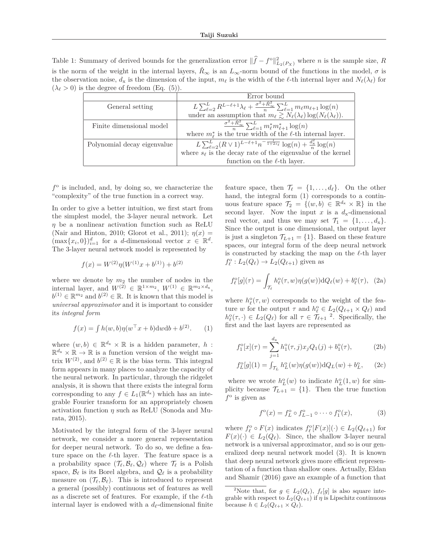Table 1: Summary of derived bounds for the generalization error  $\|\hat{f} - f^{\circ}\|_{L_2(P_X)}^2$  where *n* is the sample size, *R* is the norm of the weight in the internal layers,  $\hat{R}_{\infty}$  is an  $L_{\infty}$ -norm bound of the functions in the model,  $\sigma$  is the observation noise,  $d_x$  is the dimension of the input,  $m_\ell$  is the width of the  $\ell$ -th internal layer and  $N_\ell(\lambda_\ell)$  for  $(\lambda_{\ell} > 0)$  is the degree of freedom (Eq. (5)).

|                             | Error bound                                                                                                                            |  |  |
|-----------------------------|----------------------------------------------------------------------------------------------------------------------------------------|--|--|
| General setting             | $\boxed{L\sum_{\ell=2}^{L}R^{L-\ell+1}\lambda_{\ell}+\frac{\sigma^2+\hat{R}_{\infty}^2}{n}\sum_{\ell=1}^{L}m_{\ell}m_{\ell+1}\log(n)}$ |  |  |
|                             | under an assumption that $m_{\ell} \gtrsim N_{\ell}(\lambda_{\ell}) \log(N_{\ell}(\lambda_{\ell}))$ .                                  |  |  |
| Finite dimensional model    | $\frac{\sigma^2 + R_{\infty}^2}{n} \sum_{\ell=1}^L m_{\ell}^* m_{\ell+1}^* \log(n)$                                                    |  |  |
|                             | where $m_{\ell}^*$ is the true width of the $\ell$ -th internal layer.                                                                 |  |  |
| Polynomial decay eigenvalue | $L\sum_{\ell=2}^{L} (R\vee 1)^{L-\ell+1} n^{-\frac{1}{1+2s_{\ell}}} \log(n) + \frac{d^2}{n} \log(n)$                                   |  |  |
|                             | where $s_{\ell}$ is the decay rate of the eigenvalue of the kernel                                                                     |  |  |
|                             | function on the $\ell$ -th layer.                                                                                                      |  |  |

 $f^{\circ}$  is included, and, by doing so, we characterize the "complexity" of the true function in a correct way.

In order to give a better intuition, we first start from the simplest model, the 3-layer neural network. Let *η* be a nonlinear activation function such as ReLU (Nair and Hinton, 2010; Glorot et al., 2011);  $\eta(x) =$  $(\max\{x_i, 0\})_{i=1}^d$  for a *d*-dimensional vector  $x \in \mathbb{R}^d$ . The 3-layer neural network model is represented by

$$
f(x) = W^{(2)}\eta(W^{(1)}x + b^{(1)}) + b^{(2)}
$$

where we denote by  $m_2$  the number of nodes in the internal layer, and  $W^{(2)} \in \mathbb{R}^{1 \times m_2}$ ,  $W^{(1)} \in \mathbb{R}^{m_2 \times d_x}$ ,  $b^{(1)} \in \mathbb{R}^{m_2}$  and  $b^{(2)} \in \mathbb{R}$ . It is known that this model is *universal approximator* and it is important to consider its *integral form*

$$
f(x) = \int h(w, b)\eta(w^{\top}x + b) \mathrm{d}w \mathrm{d}b + b^{(2)}.
$$
 (1)

where  $(w, b) \in \mathbb{R}^{d_x} \times \mathbb{R}$  is a hidden parameter, *h*:  $\mathbb{R}^{d_{\mathbf{x}}} \times \mathbb{R} \to \mathbb{R}$  is a function version of the weight matrix  $W^{(2)}$ , and  $b^{(2)} \in \mathbb{R}$  is the bias term. This integral form appears in many places to analyze the capacity of the neural network. In particular, through the ridgelet analysis, it is shown that there exists the integral form corresponding to any  $f \in L_1(\mathbb{R}^{d_x})$  which has an integrable Fourier transform for an appropriately chosen activation function  $\eta$  such as ReLU (Sonoda and Murata, 2015).

Motivated by the integral form of the 3-layer neural network, we consider a more general representation for deeper neural network. To do so, we define a feature space on the  $\ell$ -th layer. The feature space is a a probability space  $(\mathcal{T}_{\ell}, \mathcal{B}_{\ell}, \mathcal{Q}_{\ell})$  where  $\mathcal{T}_{\ell}$  is a Polish space,  $\mathcal{B}_{\ell}$  is its Borel algebra, and  $\mathcal{Q}_{\ell}$  is a probability measure on  $(\mathcal{T}_{\ell}, \mathcal{B}_{\ell})$ . This is introduced to represent a general (possibly) continuous set of features as well as a discrete set of features. For example, if the  $\ell$ -th internal layer is endowed with a  $d_{\ell}$ -dimensional finite

feature space, then  $\mathcal{T}_{\ell} = \{1, \ldots, d_{\ell}\}.$  On the other hand, the integral form (1) corresponds to a continuous feature space  $\mathcal{T}_2 = \{(w, b) \in \mathbb{R}^{d_x} \times \mathbb{R}\}\$ in the second layer. Now the input  $x$  is a  $d_x$ -dimensional real vector, and thus we may set  $\mathcal{T}_1 = \{1, \ldots, d_x\}.$ Since the output is one dimensional, the output layer is just a singleton  $\mathcal{T}_{L+1} = \{1\}$ . Based on these feature spaces, our integral form of the deep neural network is constructed by stacking the map on the  $\ell$ -th layer  $f_{\ell}^{\text{o}}: L_2(Q_{\ell}) \to L_2(Q_{\ell+1})$  given as

$$
f_{\ell}^{\circ}[g](\tau) = \int_{\mathcal{T}_{\ell}} h_{\ell}^{\circ}(\tau, w) \eta(g(w)) \mathrm{d}Q_{\ell}(w) + b_{\ell}^{\circ}(\tau), \tag{2a}
$$

where  $h^{\circ}_{\ell}(\tau,w)$  corresponds to the weight of the feature *w* for the output  $\tau$  and  $h_{\ell}^{\circ} \in L_2(Q_{\ell+1} \times Q_{\ell})$  and  $h_{\ell}^{\circ}(\tau, \cdot) \in L_2(Q_{\ell})$  for all  $\tau \in \mathcal{T}_{\ell+1}^{\circ}$ . Specifically, the first and the last layers are represented as

$$
f_1^o[x](\tau) = \sum_{j=1}^{d_x} h_1^o(\tau, j) x_j Q_1(j) + b_1^o(\tau), \tag{2b}
$$

$$
f_L^{\text{o}}[g](1) = \int_{\mathcal{T}_L} h_L^{\text{o}}(w) \eta(g(w)) \, dQ_L(w) + b_L^{\text{o}}, \qquad (2c)
$$

where we wrote  $h_L^{\circ}(w)$  to indicate  $h_L^{\circ}(1, w)$  for simplicity because  $\mathcal{T}_{L+1} = \{1\}$ . Then the true function  $f^{\circ}$  is given as

$$
f^{\circ}(x) = f_L^{\circ} \circ f_{L-1}^{\circ} \circ \cdots \circ f_1^{\circ}(x), \tag{3}
$$

where  $f_{\ell}^{\circ} \circ F(x)$  indicates  $f_{\ell}^{\circ}[F(x)](\cdot) \in L_2(Q_{\ell+1})$  for  $F(x)(.) \in L_2(Q_\ell)$ . Since, the shallow 3-layer neural network is a universal approximator, and so is our generalized deep neural network model (3). It is known that deep neural network gives more efficient representation of a function than shallow ones. Actually, Eldan and Shamir (2016) gave an example of a function that

<sup>&</sup>lt;sup>2</sup>Note that, for  $g \in L_2(Q_\ell), f_\ell[g]$  is also square inte-<br>ble with respect to  $L_2(Q_{\ell+1})$  if *n* is Linschitz continuous grable with respect to  $L_2(Q_{\ell+1})$  if  $\eta$  is Lipschitz continuous<br>because  $h \in L_2(Q_{\ell+1} \times Q_{\ell})$ because  $h \in L_2(Q_{\ell+1} \times Q_{\ell}).$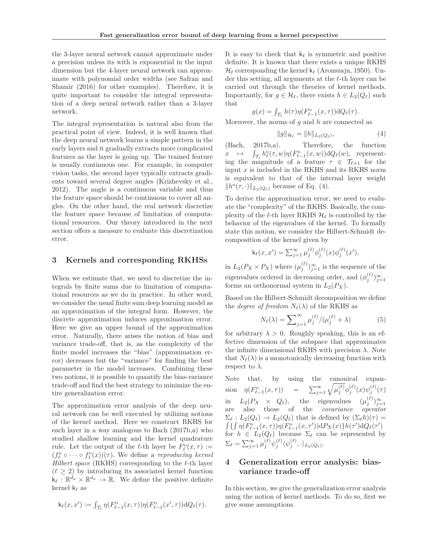the 3-layer neural network cannot approximate under a precision unless its with is exponential in the input dimension but the 4-layer neural network can approximate with polynomial order widths (see Safran and Shamir (2016) for other examples). Therefore, it is quite important to consider the integral representation of a deep neural network rather than a 3-layer network.

The integral representation is natural also from the practical point of view. Indeed, it is well known that the deep neural network learns a simple pattern in the early layers and it gradually extracts more complicated features as the layer is going up. The trained feature is usually continuous one. For example, in computer vision tasks, the second layer typically extracts gradients toward several degree angles (Krizhevsky et al., 2012). The angle is a continuous variable and thus the feature space should be continuous to cover all angles. On the other hand, the real network discretize the feature space because of limitation of computational resources. Our theory introduced in the next section offers a measure to evaluate this discretization error.

## **3 Kernels and corresponding RKHSs**

When we estimate that, we need to discretize the integrals by finite sums due to limitation of computational resources as we do in practice. In other word, we consider the usual finite sum deep learning model as an approximation of the integral form. However, the discrete approximation induces approximation error. Here we give an upper bound of the approximation error. Naturally, there arises the notion of bias and variance trade-off, that is, as the complexity of the finite model increases the "bias" (approximation error) decreases but the "variance" for finding the best parameter in the model increases. Combining these two notions, it is possible to quantify the bias-variance trade-off and find the best strategy to minimize the entire generalization error.

The approximation error analysis of the deep neural network can be well executed by utilizing notions of the kernel method. Here we construct RKHS for each layer in a way analogous to Bach (2017b,a) who studied shallow learning and the kernel quadrature rule. Let the output of the  $\ell$ -th layer be  $\overline{F_{\ell}^{\circ}}(x,\tau) :=$  $(f_{\ell}^{o} \circ \cdots \circ f_{1}^{o}(x))(\tau)$ . We define a *reproducing kernel Hilbert space* (RKHS) corresponding to the  $\ell$ -th layer  $(\ell \geq 2)$  by introducing its associated kernel function  $\hat{\mathsf{k}}_{\ell}: \mathbb{R}^{d_{\mathbf{x}}} \times \mathbb{R}^{d_{\mathbf{x}}} \to \mathbb{R}$ . We define the positive definite kernel k*-* as

$$
\mathsf{k}_{\ell}(x,x'):=\textstyle\int_{\mathcal{T}_{\ell}}\eta(F^\mathrm{o}_{\ell-1}(x,\tau))\eta(F^\mathrm{o}_{\ell-1}(x',\tau))\mathrm{d} Q_{\ell}(\tau).
$$

It is easy to check that  $k_{\ell}$  is symmetric and positive definite. It is known that there exists a unique RKHS  $\mathcal{H}_{\ell}$  corresponding the kernel k<sub> $\ell$ </sub> (Aronszajn, 1950). Under this setting, all arguments at the  $\ell$ -th layer can be carried out through the theories of kernel methods. Importantly, for  $g \in \mathcal{H}_{\ell}$ , there exists  $h \in L_2(Q_{\ell})$  such that

$$
g(x) = \int_{T_{\ell}} h(\tau) \eta(F_{\ell-1}^{\rm o}(x,\tau)) \mathrm{d}Q_{\ell}(\tau).
$$

Moreover, the norms of *g* and *h* are connected as

$$
g\|_{\mathcal{H}_{\ell}} = \|h\|_{L_2(Q_{\ell})},\tag{4}
$$

(Bach, 2017b,a). Therefore, the function  $x \mapsto \int$ ing the magnitude of a feature  $\tau \in \mathcal{T}_{\ell+1}$  for the  $\frac{1}{\ell} h^{\circ}_{\ell}(\tau, w) \eta(F^{\circ}_{\ell-1}(x, w)) dQ_{\ell}(w)$ , representinput *x* is included in the RKHS and its RKHS norm is equivalent to that of the internal layer weight  $||h^{\circ}(\tau,\cdot)||_{L_2(Q_{\ell})}$  because of Eq. (4).

To derive the approximation error, we need to evaluate the "complexity" of the RKHS. Basically, the complexity of the  $\ell$ -th layer RKHS  $\mathcal{H}_{\ell}$  is controlled by the behavior of the eigenvalues of the kernel. To formally state this notion, we consider the Hilbert-Schmidt decomposition of the kernel given by

$$
k_{\ell}(x, x') = \sum_{j=1}^{\infty} \mu_j^{(\ell)} \phi_j^{(\ell)}(x) \phi_j^{(\ell)}(x'),
$$

in  $L_2(P_X \times P_X)$  where  $(\mu_j^{(\ell)})_{j=1}^{\infty}$  is the sequence of the eigenvalues ordered in decreasing order, and  $(\phi_i^{(\ell)})_{i=1}^{\infty}$ forms an orthonormal system in  $L_2(P_X)$ .

Based on the Hilbert-Schmidt decomposition we define the *degree of freedom*  $N_{\ell}(\lambda)$  of the RKHS as

$$
N_{\ell}(\lambda) = \sum_{j=1}^{\infty} \mu_j^{(\ell)} / (\mu_j^{(\ell)} + \lambda)
$$
 (5)

for arbitrary  $\lambda > 0$ . Roughly speaking, this is an effective dimension of the subspace that approximates the infinite dimensional RKHS with precision *λ*. Note that  $N_{\ell}(\lambda)$  is a monotonically decreasing function with respect to  $\lambda$ .

Note that, by using the canonical expansion  $\eta(F_{\ell-1}^0(x,\tau)) = \sum_{j=1}^{\infty} \sqrt{\mu_j^{(\ell)}} \phi_j^{(\ell)}(x) \psi_j^{(\ell)}(\tau)$ in  $L_2(P_X \times Q_\ell)$ , the eigenvalues  $(\mu_j^{(\ell)})_{j=1}^\infty$ are also those of the *covariance operator*  $\Sigma_{\ell}: L_2(Q_{\ell}) \to L_2(Q_{\ell})$  that is defined by  $(\Sigma_{\ell} h)(\tau) =$  $\int_{\mathcal{L}} \{ \int_{\mathcal{L}} \eta(F_{\ell-1}^{\circ}(x,\tau)) \eta(F_{\ell-1}^{\circ}(x,\tau')) dP_X(x) \} h(\tau') dQ_{\ell}(\tau')$ for  $h \in L_2(Q_\ell)$  because  $\Sigma_\ell$  can be represented by  $\Sigma_{\ell} = \sum_{j=1}^{\infty} \mu_j^{(\ell)} \psi_j^{(\ell)} \langle \psi_j^{(\ell)}, \cdot \rangle_{L_2(Q_{\ell})}.$ 

# **4 Generalization error analysis: biasvariance trade-off**

In this section, we give the generalization error analysis using the notion of kernel methods. To do so, first we give some assumptions.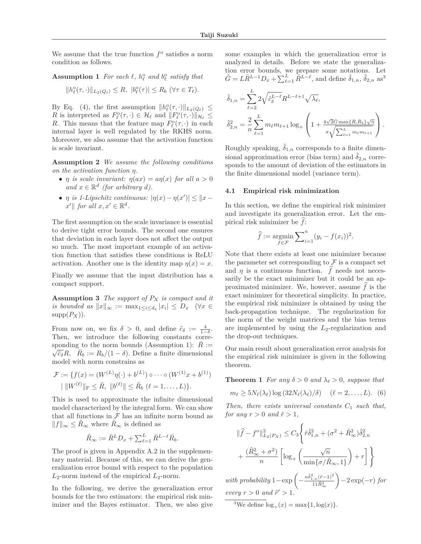We assume that the true function  $f^{\circ}$  satisfies a norm condition as follows.

# **Assumption 1** For each  $\ell$ ,  $h_{\ell}^{\text{o}}$  and  $b_{\ell}^{\text{o}}$  satisfy that

$$
||h^{\circ}_{\ell}(\tau,\cdot)||_{L_2(Q_{\ell})}\leq R, \, |b^{\circ}_{\ell}(\tau)|\leq R_b \, (\forall \tau \in T_{\ell}).
$$

By Eq. (4), the first assumption  $||h^o_{\ell}(\tau,\cdot)||_{L_2(Q_{\ell})} \leq$ *R* is interpreted as  $F_{\ell}^{\circ}(\tau, \cdot) \in \mathcal{H}_{\ell}$  and  $\Vert F_{\ell}^{\circ}(\tau, \cdot) \Vert_{\mathcal{H}_{\ell}} \leq$ *R*. This means that the feature map  $F_{\ell}^{\circ}(\tau, \cdot)$  in each internal layer is well regulated by the RKHS norm. Moreover, we also assume that the activation function is scale invariant.

**Assumption 2** *We assume the following conditions on the activation function η.*

- *η is scale invariant:*  $\eta(ax) = a\eta(x)$  *for all*  $a > 0$ *and*  $x \in \mathbb{R}^d$  *(for arbitrary d).*
- *η is 1-Lipschitz continuous:*  $|\eta(x) \eta(x')| \leq ||x \eta(x')||$  $\mathcal{L} \parallel$  *for all*  $x, x' \in \mathbb{R}^d$ .

The first assumption on the scale invariance is essential to derive tight error bounds. The second one ensures that deviation in each layer does not affect the output so much. The most important example of an activation function that satisfies these conditions is ReLU activation. Another one is the identity map  $\eta(x) = x$ .

Finally we assume that the input distribution has a compact support.

**Assumption 3** *The support of P<sup>X</sup> is compact and it is bounded as*  $||x||_{\infty} := \max_{1 \leq i \leq d_x} |x_i| \leq D_x \quad (\forall x \in$  $supp(P_X)$ ).

From now on, we fix  $\delta > 0$ , and define  $\hat{c}_{\delta} := \frac{4}{1-\delta}$ . Then, we introduce the following constants corresponding to the norm bounds (Assumption 1):  $\bar{R} := \sqrt{\tilde{c}_{\delta}} R$ ,  $\bar{R}_b := R_b/(1 - \delta)$ . Define a finite dimensional model with norm constrains as

$$
\mathcal{F} := \{ f(x) = (W^{(L)}\eta(\cdot) + b^{(L)}) \circ \cdots \circ (W^{(1)}x + b^{(1)})
$$
  
 
$$
| \|W^{(\ell)}\|_{\mathcal{F}} \leq \bar{R}, \|b^{(\ell)}\| \leq \bar{R}_b \ (\ell = 1, ..., L) \}.
$$

This is used to approximate the infinite dimensional model characterized by the integral form. We can show that all functions in  ${\mathcal F}$  has an infinite norm bound as  $||f||_{\infty}$  ≤  $\hat{R}_{\infty}$  where  $\hat{R}_{\infty}$  is defined as

$$
\hat{R}_{\infty} := \bar{R}^L D_x + \sum_{\ell=1}^L \bar{R}^{L-\ell} \bar{R}_b.
$$

The proof is given in Appendix A.2 in the supplementary material. Because of this, we can derive the generalization error bound with respect to the population *L*2-norm instead of the empirical *L*2-norm.

In the following, we derive the generalization error bounds for the two estimators: the empirical risk minimizer and the Bayes estimator. Then, we also give some examples in which the generalization error is analyzed in details. Before we state the generalization error bounds, we prepare some notations. Let  $\hat{G} = L\bar{R}^{L-1}D_x + \sum_{\ell=1}^L \bar{R}^{L-\ell}$ , and define  $\hat{\delta}_{1,n}$ ,  $\hat{\delta}_{2,n}$  as<sup>3</sup>

$$
\hat{\delta}_{1,n} = \sum_{\ell=2}^{L} 2\sqrt{\hat{c}_{\delta}^{L-\ell}} R^{L-\ell+1} \sqrt{\lambda_{\ell}},
$$
  

$$
\hat{\delta}_{2,n}^{2} = \frac{2}{n} \sum_{\ell=1}^{L} m_{\ell} m_{\ell+1} \log_{+} \left( 1 + \frac{4\sqrt{2} \hat{G} \max\{\bar{R}, \bar{R}_{b}\} \sqrt{n}}{\sigma \sqrt{\sum_{\ell=1}^{L} m_{\ell} m_{\ell+1}}} \right).
$$

Roughly speaking,  $\delta_{1,n}$  corresponds to a finite dimensional approximation error (bias term) and  $\hat{\delta}_{2,n}$  corresponds to the amount of deviation of the estimators in the finite dimensional model (variance term).

#### **4.1 Empirical risk minimization**

In this section, we define the empirical risk minimizer and investigate its generalization error. Let the empirical risk minimizer be  $f$ :

$$
\widehat{f} := \underset{f \in \mathcal{F}}{\operatorname{argmin}} \sum_{i=1}^{n} (y_i - f(x_i))^2.
$$

Note that there exists at least one minimizer because the parameter set corresponding to  ${\mathcal F}$  is a compact set and  $\eta$  is a continuous function.  $f$  needs not necessarily be the exact minimizer but it could be an approximated minimizer. We, however, assume  $f$  is the exact minimizer for theoretical simplicity. In practice, the empirical risk minimizer is obtained by using the back-propagation technique. The regularization for the norm of the weight matrices and the bias terms are implemented by using the *L*2-regularization and the drop-out techniques.

Our main result about generalization error analysis for the empirical risk minimizer is given in the following theorem.

**Theorem 1** *For any*  $\delta > 0$  *and*  $\lambda_{\ell} > 0$ *, suppose that* 

$$
m_{\ell} \ge 5N_{\ell}(\lambda_{\ell}) \log (32N_{\ell}(\lambda_{\ell})/\delta) \quad (\ell = 2,\ldots,L). \tag{6}
$$

*Then, there exists universal constants C*<sup>1</sup> *such that, for any*  $r > 0$  *and*  $\tilde{r} > 1$ ,

$$
\|\hat{f} - f^{\circ}\|_{L_2(P_X)}^2 \le C_3 \left\{ \tilde{r} \hat{\delta}_{1,n}^2 + (\sigma^2 + \hat{R}_{\infty}^2) \hat{\delta}_{2,n}^2 + \frac{(\hat{R}_{\infty}^2 + \sigma^2)}{n} \left[ \log_+ \left( \frac{\sqrt{n}}{\min\{\sigma/\hat{R}_{\infty}, 1\}} \right) + r \right] \right\}
$$

 $with \ probability 1 - \exp \left(-\frac{n\hat{\delta}_{1,n}^{2}(\tilde{r}-1)^{2}}{11\hat{R}_{\infty}^{2}}\right)$  −2 exp(−*r*) *for every*  $r > 0$  *and*  $\tilde{r}' > 1$ *.* 

<sup>3</sup>We define  $log_+(x) = max\{1, log(x)\}.$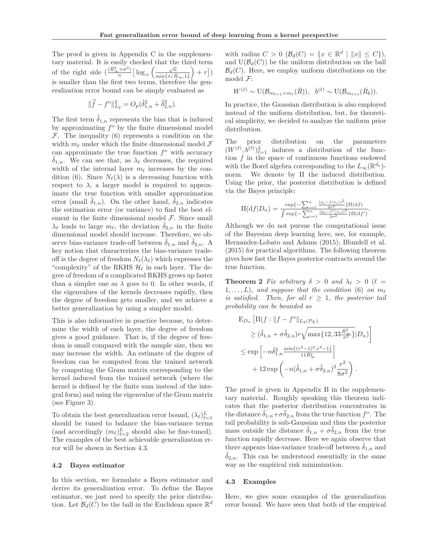The proof is given in Appendix C in the supplementary material. It is easily checked that the third term of the right side  $\left(\frac{(\hat{R}_{\infty}^2+\sigma^2)}{n}\right] \log_+\left(\frac{\sqrt{n}}{\min\{\sigma/\hat{R}\}}\right)$  $\frac{\sqrt{n}}{\min\{\sigma/\hat{R}_{\infty},1\}}$  + *r*]) is smaller than the first two terms, therefore the generalization error bound can be simply evaluated as

$$
\|\hat{f} - f^{\circ}\|_{L_2}^2 = O_p(\hat{\delta}_{1,n}^2 + \hat{\delta}_{2,n}^2).
$$

The first term  $\hat{\delta}_{1,n}$  represents the bias that is induced by approximating  $f^{\circ}$  by the finite dimensional model  $\mathcal F$ . The inequality (6) represents a condition on the width  $m_{\ell}$  under which the finite dimensional model  $\mathcal F$ can approximate the true function  $f^{\circ}$  with accuracy  $\delta_{1,n}$ . We can see that, as  $\lambda_{\ell}$  decreases, the required width of the internal layer  $m_{\ell}$  increases by the condition (6). Since  $N_{\ell}(\lambda)$  is a decreasing function with respect to  $\lambda$ , a larger model is required to approximate the true function with smaller approximation error (small  $\delta_{1,n}$ ). On the other hand,  $\delta_{2,n}$  indicates the estimation error (or variance) to find the best element in the finite dimensional model  $\mathcal F$ . Since small  $\lambda_{\ell}$  leads to large  $m_{\ell}$ , the deviation  $\hat{\delta}_{2,n}$  in the finite dimensional model should increase. Therefore, we observe bias-variance trade-off between  $\hat{\delta}_{1,n}$  and  $\hat{\delta}_{2,n}$ . A key notion that characterizes the bias-variance tradeoff is the degree of freedom  $N_{\ell}(\lambda_{\ell})$  which expresses the "complexity" of the RKHS  $\mathcal{H}_{\ell}$  in each layer. The degree of freedom of a complicated RKHS grows up faster than a simpler one as  $\lambda$  goes to 0. In other words, if the eigenvalues of the kernels decreases rapidly, then the degree of freedom gets smaller, and we achieve a better generalization by using a simpler model.

This is also informative in practice because, to determine the width of each layer, the degree of freedom gives a good guidance. That is, if the degree of freedom is small compared with the sample size, then we may increase the width. An estimate of the degree of freedom can be computed from the trained network by computing the Gram matrix corresponding to the kernel induced from the trained network (where the kernel is defined by the finite sum instead of the integral form) and using the eigenvalue of the Gram matrix (see Figure 3).

To obtain the best generalization error bound,  $(\lambda_{\ell})_{\ell=1}^{L}$ should be tuned to balance the bias-variance terms (and accordingly  $(m_{\ell})_{\ell=2}^L$  should also be fine-tuned). The examples of the best achievable generalization error will be shown in Section 4.3.

#### **4.2 Bayes estimator**

In this section, we formulate a Bayes estimator and derive its generalization error. To define the Bayes estimator, we just need to specify the prior distribution. Let  $\mathcal{B}_d(C)$  be the ball in the Euclidean space  $\mathbb{R}^d$ 

with radius  $C > 0$  ( $\mathcal{B}_d(C) = \{x \in \mathbb{R}^d \mid ||x|| \le C\}$ ), and  $U(\mathcal{B}_d(C))$  be the uniform distribution on the ball  $\mathcal{B}_d(C)$ . Here, we employ uniform distributions on the model F:

$$
W^{(\ell)} \sim \mathrm{U}(\mathcal{B}_{m_{\ell+1} \times m_{\ell}}(\bar{R})), \ \ b^{(\ell)} \sim \mathrm{U}(\mathcal{B}_{m_{\ell+1}}(\bar{R}_b)).
$$

In practice, the Gaussian distribution is also employed instead of the uniform distribution, but, for theoretical simplicity, we decided to analyze the uniform prior distribution.

The prior distribution on the parameters  $(W^{(\ell)}, \dot{b}^{(\ell)})_{\ell=1}^L$  induces a distribution of the function  $f$  in the space of continuous functions endowed with the Borel algebra corresponding to the  $L_{\infty}(\mathbb{R}^{d_{\mathbf{x}}})$ norm. We denote by Π the induced distribution. Using the prior, the posterior distribution is defined via the Bayes principle:

$$
\Pi(df|D_n) = \frac{\exp\{-\sum_{i=1}^n \frac{(y_i - f(x_i))^2}{2\sigma^2}\} \Pi(df)}{\int \exp\{-\sum_{i=1}^n \frac{(y_i - f'(x_i))^2}{2\sigma^2}\} \Pi(df')}.
$$

Although we do not pursue the computational issue of the Bayesian deep learning here, see, for example, Hernandez-Lobato and Adams (2015); Blundell et al. (2015) for practical algorithms. The following theorem gives how fast the Bayes posterior contracts around the true function.

**Theorem 2** *Fix arbitrary*  $\delta > 0$  *and*  $\lambda_{\ell} > 0$  ( $\ell =$  $1, \ldots, L$ , and suppose that the condition (6) on  $m_{\ell}$ *is satisfied.* Then, for all  $r \geq 1$ , the posterior tail *probability can be bounded as*

$$
E_{D_n} \left[ \Pi(f : ||f - f^{\circ}||_{L_2(P_X)} \right]
$$
  
\n
$$
\geq (\hat{\delta}_{1,n} + \sigma \hat{\delta}_{2,n}) r \sqrt{\max\{12, 33 \frac{\hat{R}_{\infty}^2}{\sigma^2}\}} |D_n) \right]
$$
  
\n
$$
\leq \exp \left[ -n \hat{\delta}_{1,n}^2 \frac{\min\{(r^2 - 1)^2, r^2 - 1\}}{11 \hat{R}_{\infty}^2} \right]
$$
  
\n
$$
+ 12 \exp \left( -n(\hat{\delta}_{1,n} + \sigma \hat{\delta}_{2,n})^2 \frac{r^2}{8\sigma^2} \right).
$$

The proof is given in Appendix B in the supplementary material. Roughly speaking this theorem indicates that the posterior distribution concentrates in the distance  $\hat{\delta}_{1,n}+\sigma\hat{\delta}_{2,n}$  from the true function  $f^{\circ}$ . The tail probability is sub-Gaussian and thus the posterior mass outside the distance  $\hat{\delta}_{1,n} + \sigma \hat{\delta}_{2,n}$  from the true function rapidly decrease. Here we again observe that there appears bias-variance trade-off between  $\hat{\delta}_{1,n}$  and  $\delta_{2,n}$ . This can be understood essentially in the same way as the empirical risk minimization.

#### **4.3 Examples**

Here, we give some examples of the generalization error bound. We have seen that both of the empirical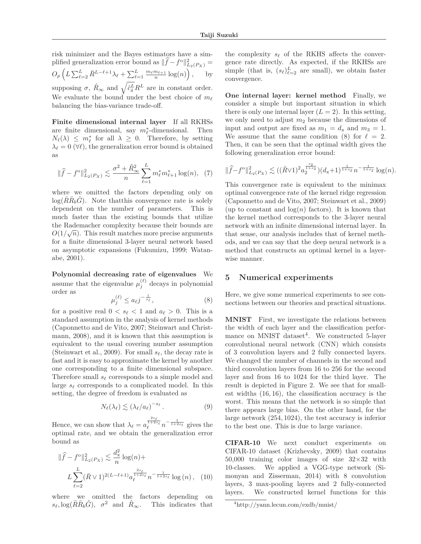risk minimizer and the Bayes estimators have a simplified generalization error bound as  $\|\hat{f} - f^{\circ}\|_{L_2(P_X)}^2 =$  $O_p\left(L\sum_{\ell=2}^L \bar{R}^{L-\ell+1}\lambda_\ell + \sum_{\ell=1}^L \frac{m_\ell m_{\ell+1}}{n}\log(n)\right), \quad \text{by}$ supposing  $\sigma$ ,  $\hat{R}_{\infty}$  and  $\sqrt{\hat{c}_{\delta}^{L}}R^{L}$  are in constant order. We evaluate the bound under the best choice of  $m_{\ell}$ balancing the bias-variance trade-off.

**Finite dimensional internal layer** If all RKHSs are finite dimensional, say  $m_{\ell}^*$ -dimensional. Then  $N_{\ell}(\lambda) \leq m_{\ell}^{*}$  for all  $\lambda \geq 0$ . Therefore, by setting  $\lambda_{\ell} = 0$  ( $\forall \ell$ ), the generalization error bound is obtained as

$$
\|\widehat{f} - f^{\circ}\|_{L_2(P_X)}^2 \lesssim \frac{\sigma^2 + \widehat{R}_{\infty}^2}{n} \sum_{\ell=1}^L m_{\ell}^* m_{\ell+1}^* \log(n), \tag{7}
$$

where we omitted the factors depending only on  $log(RR_b\hat{G})$ . Note that this convergence rate is solely dependent on the number of parameters. This is much faster than the existing bounds that utilize the Rademacher complexity because their bounds are  $O(1/\sqrt{n})$ . This result matches more precise arguments for a finite dimensional 3-layer neural network based on asymptotic expansions (Fukumizu, 1999; Watanabe, 2001).

**Polynomial decreasing rate of eigenvalues** We assume that the eigenvalue  $\mu_i^{(\ell)}$  decays in polynomial order as

$$
\mu_j^{(\ell)} \le a_\ell j^{-\frac{1}{s_\ell}},\tag{8}
$$

for a positive real  $0 < s_{\ell} < 1$  and  $a_{\ell} > 0$ . This is a standard assumption in the analysis of kernel methods (Caponnetto and de Vito, 2007; Steinwart and Christmann, 2008), and it is known that this assumption is equivalent to the usual covering number assumption (Steinwart et al., 2009). For small  $s_{\ell}$ , the decay rate is fast and it is easy to approximate the kernel by another one corresponding to a finite dimensional subspace. Therefore small  $s_{\ell}$  corresponds to a simple model and large  $s_{\ell}$  corresponds to a complicated model. In this setting, the degree of freedom is evaluated as

$$
N_{\ell}(\lambda_{\ell}) \lesssim (\lambda_{\ell}/a_{\ell})^{-s_{\ell}}.
$$
 (9)

Hence, we can show that  $\lambda_{\ell} = a$  $\frac{2s_{\ell}}{1+2s_{\ell}} n^{-\frac{1}{1+2s_{\ell}}}$  gives the optimal rate, and we obtain the generalization error bound as

$$
\|\hat{f} - f^{\circ}\|_{L_2(P_X)}^2 \lesssim \frac{d_x^2}{n} \log(n) + L_{\ell^{\frac{2s_{\ell}}{\ell}}(R)} \sqrt{\frac{2s_{\ell}}{n}} \log(n) + L_{\ell^{\frac{2s_{\ell}}{\ell}}(R)} \sqrt{\frac{2s_{\ell}}{n}} \log(n), \quad (10)
$$

where we omitted the factors depending on  $s_{\ell}$ ,  $\log(\bar{R}\bar{R}_{b}\hat{G})$ ,  $\sigma^{2}$  and  $\hat{R}_{\infty}$ . This indicates that

the complexity  $s_{\ell}$  of the RKHS affects the convergence rate directly. As expected, if the RKHSs are simple (that is,  $(s_\ell)_{\ell=2}^L$  are small), we obtain faster convergence.

**One internal layer: kernel method** Finally, we consider a simple but important situation in which there is only one internal layer  $(L = 2)$ . In this setting, we only need to adjust *m*<sup>2</sup> because the dimensions of input and output are fixed as  $m_1 = d_x$  and  $m_3 = 1$ . We assume that the same condition (8) for  $\ell = 2$ . Then, it can be seen that the optimal width gives the following generalization error bound:

$$
\|\widehat{f} - f^{\circ}\|_{L_2(P_X)}^2 \lesssim ((\bar{R} \vee 1)^2 a_2^{\frac{s_2}{1+s_2}}) (d_x + 1)^{\frac{1}{1+s_2}} n^{-\frac{1}{1+s_2}} \log(n).
$$

This convergence rate is equivalent to the minimax optimal convergence rate of the kernel ridge regression (Caponnetto and de Vito, 2007; Steinwart et al., 2009) (up to constant and  $log(n)$  factors). It is known that the kernel method corresponds to the 3-layer neural network with an infinite dimensional internal layer. In that sense, our analysis includes that of kernel methods, and we can say that the deep neural network is a method that constructs an optimal kernel in a layerwise manner.

### **5 Numerical experiments**

Here, we give some numerical experiments to see connections between our theories and practical situations.

**MNIST** First, we investigate the relations between the width of each layer and the classification performance on MNIST dataset<sup>4</sup>. We constructed 5-layer convolutional neural network (CNN) which consists of 3 convolution layers and 2 fully connected layers. We changed the number of channels in the second and third convolution layers from 16 to 256 for the second layer and from 16 to 1024 for the third layer. The result is depicted in Figure 2. We see that for smallest widths (16*,* 16), the classification accuracy is the worst. This means that the network is so simple that there appears large bias. On the other hand, for the large network (254*,* 1024), the test accuracy is inferior to the best one. This is due to large variance.

**CIFAR-10** We next conduct experiments on CIFAR-10 dataset (Krizhevsky, 2009) that contains 50,000 training color images of size  $32 \times 32$  with 10-classes. We applied a VGG-type network (Si-We applied a VGG-type network (Simonyan and Zisserman, 2014) with 8 convolution layers, 3 max-pooling layers and 2 fully-connected layers. We constructed kernel functions for this

<sup>4</sup>http://yann.lecun.com/exdb/mnist/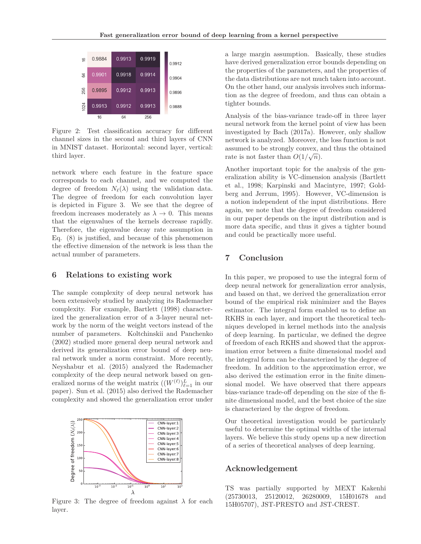| $\frac{6}{2}$ | 0.9884 | 0.9913 | 0.9919 | 0.9912 |
|---------------|--------|--------|--------|--------|
| 55            | 0.9901 | 0.9918 | 0.9914 | 0.9904 |
| 256           | 0.9895 | 0.9912 | 0.9913 | 0.9896 |
| 1024          | 0.9913 | 0.9912 | 0.9913 | 0.9888 |
|               | 16     | 64     | 256    |        |

Figure 2: Test classification accuracy for different channel sizes in the second and third layers of CNN in MNIST dataset. Horizontal: second layer, vertical: third layer.

network where each feature in the feature space corresponds to each channel, and we computed the degree of freedom  $N_{\ell}(\lambda)$  using the validation data. The degree of freedom for each convolution layer is depicted in Figure 3. We see that the degree of freedom increases moderately as  $\lambda \to 0$ . This means that the eigenvalues of the kernels decrease rapidly. Therefore, the eigenvalue decay rate assumption in Eq. (8) is justified, and because of this phenomenon the effective dimension of the network is less than the actual number of parameters.

## **6 Relations to existing work**

The sample complexity of deep neural network has been extensively studied by analyzing its Rademacher complexity. For example, Bartlett (1998) characterized the generalization error of a 3-layer neural network by the norm of the weight vectors instead of the number of parameters. Koltchinskii and Panchenko (2002) studied more general deep neural network and derived its generalization error bound of deep neural network under a norm constraint. More recently, Neyshabur et al. (2015) analyzed the Rademacher complexity of the deep neural network based on generalized norms of the weight matrix  $((W^{(\ell)})_{\ell=1}^L$  in our paper). Sun et al. (2015) also derived the Rademacher complexity and showed the generalization error under



Figure 3: The degree of freedom against  $\lambda$  for each layer.

a large margin assumption. Basically, these studies have derived generalization error bounds depending on the properties of the parameters, and the properties of the data distributions are not much taken into account. On the other hand, our analysis involves such information as the degree of freedom, and thus can obtain a tighter bounds.

Analysis of the bias-variance trade-off in three layer neural network from the kernel point of view has been investigated by Bach (2017a). However, only shallow network is analyzed. Moreover, the loss function is not assumed to be strongly convex, and thus the obtained rate is not faster than  $O(1/\sqrt{n})$ .

Another important topic for the analysis of the generalization ability is VC-dimension analysis (Bartlett et al., 1998; Karpinski and Macintyre, 1997; Goldberg and Jerrum, 1995). However, VC-dimension is a notion independent of the input distributions. Here again, we note that the degree of freedom considered in our paper depends on the input distribution and is more data specific, and thus it gives a tighter bound and could be practically more useful.

# **7 Conclusion**

In this paper, we proposed to use the integral form of deep neural network for generalization error analysis, and based on that, we derived the generalization error bound of the empirical risk minimizer and the Bayes estimator. The integral form enabled us to define an RKHS in each layer, and import the theoretical techniques developed in kernel methods into the analysis of deep learning. In particular, we defined the degree of freedom of each RKHS and showed that the approximation error between a finite dimensional model and the integral form can be characterized by the degree of freedom. In addition to the approximation error, we also derived the estimation error in the finite dimensional model. We have observed that there appears bias-variance trade-off depending on the size of the finite dimensional model, and the best choice of the size is characterized by the degree of freedom.

Our theoretical investigation would be particularly useful to determine the optimal widths of the internal layers. We believe this study opens up a new direction of a series of theoretical analyses of deep learning.

## **Acknowledgement**

TS was partially supported by MEXT Kakenhi (25730013, 25120012, 26280009, 15H01678 and 15H05707), JST-PRESTO and JST-CREST.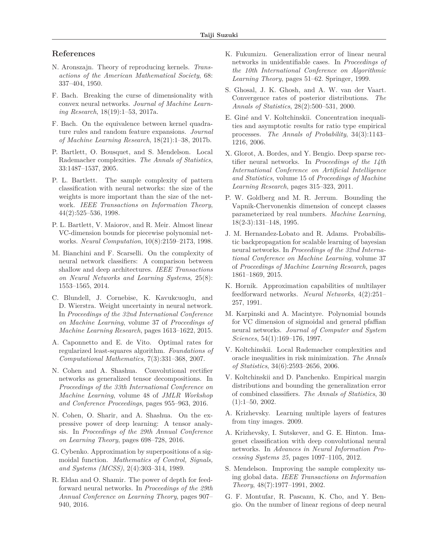# **References**

- N. Aronszajn. Theory of reproducing kernels. *Transactions of the American Mathematical Society*, 68: 337–404, 1950.
- F. Bach. Breaking the curse of dimensionality with convex neural networks. *Journal of Machine Learning Research*, 18(19):1–53, 2017a.
- F. Bach. On the equivalence between kernel quadrature rules and random feature expansions. *Journal of Machine Learning Research*, 18(21):1–38, 2017b.
- P. Bartlett, O. Bousquet, and S. Mendelson. Local Rademacher complexities. *The Annals of Statistics*, 33:1487–1537, 2005.
- P. L. Bartlett. The sample complexity of pattern classification with neural networks: the size of the weights is more important than the size of the network. *IEEE Transactions on Information Theory*, 44(2):525–536, 1998.
- P. L. Bartlett, V. Maiorov, and R. Meir. Almost linear VC-dimension bounds for piecewise polynomial networks. *Neural Computation*, 10(8):2159–2173, 1998.
- M. Bianchini and F. Scarselli. On the complexity of neural network classifiers: A comparison between shallow and deep architectures. *IEEE Transactions on Neural Networks and Learning Systems*, 25(8): 1553–1565, 2014.
- C. Blundell, J. Cornebise, K. Kavukcuoglu, and D. Wierstra. Weight uncertainty in neural network. In *Proceedings of the 32nd International Conference on Machine Learning*, volume 37 of *Proceedings of Machine Learning Research*, pages 1613–1622, 2015.
- A. Caponnetto and E. de Vito. Optimal rates for regularized least-squares algorithm. *Foundations of Computational Mathematics*, 7(3):331–368, 2007.
- N. Cohen and A. Shashua. Convolutional rectifier networks as generalized tensor decompositions. In *Proceedings of the 33th International Conference on Machine Learning*, volume 48 of *JMLR Workshop and Conference Proceedings*, pages 955–963, 2016.
- N. Cohen, O. Sharir, and A. Shashua. On the expressive power of deep learning: A tensor analysis. In *Proceedings of the 29th Annual Conference on Learning Theory*, pages 698–728, 2016.
- G. Cybenko. Approximation by superpositions of a sigmoidal function. *Mathematics of Control, Signals, and Systems (MCSS)*, 2(4):303–314, 1989.
- R. Eldan and O. Shamir. The power of depth for feedforward neural networks. In *Proceedings of the 29th Annual Conference on Learning Theory*, pages 907– 940, 2016.
- K. Fukumizu. Generalization error of linear neural networks in unidentifiable cases. In *Proceedings of the 10th International Conference on Algorithmic Learning Theory*, pages 51–62. Springer, 1999.
- S. Ghosal, J. K. Ghosh, and A. W. van der Vaart. Convergence rates of posterior distributions. *The Annals of Statistics*, 28(2):500–531, 2000.
- E. Giné and V. Koltchinskii. Concentration inequalities and asymptotic results for ratio type empirical processes. *The Annals of Probability*, 34(3):1143– 1216, 2006.
- X. Glorot, A. Bordes, and Y. Bengio. Deep sparse rectifier neural networks. In *Proceedings of the 14th International Conference on Artificial Intelligence and Statistics*, volume 15 of *Proceedings of Machine Learning Research*, pages 315–323, 2011.
- P. W. Goldberg and M. R. Jerrum. Bounding the Vapnik-Chervonenkis dimension of concept classes parameterized by real numbers. *Machine Learning*, 18(2-3):131–148, 1995.
- J. M. Hernandez-Lobato and R. Adams. Probabilistic backpropagation for scalable learning of bayesian neural networks. In *Proceedings of the 32nd International Conference on Machine Learning*, volume 37 of *Proceedings of Machine Learning Research*, pages 1861–1869, 2015.
- K. Hornik. Approximation capabilities of multilayer feedforward networks. *Neural Networks*, 4(2):251– 257, 1991.
- M. Karpinski and A. Macintyre. Polynomial bounds for VC dimension of sigmoidal and general pfaffian neural networks. *Journal of Computer and System Sciences*, 54(1):169–176, 1997.
- V. Koltchinskii. Local Rademacher complexities and oracle inequalities in risk minimization. *The Annals of Statistics*, 34(6):2593–2656, 2006.
- V. Koltchinskii and D. Panchenko. Empirical margin distributions and bounding the generalization error of combined classifiers. *The Annals of Statistics*, 30  $(1):1-50, 2002.$
- A. Krizhevsky. Learning multiple layers of features from tiny images. 2009.
- A. Krizhevsky, I. Sutskever, and G. E. Hinton. Imagenet classification with deep convolutional neural networks. In *Advances in Neural Information Processing Systems 25*, pages 1097–1105, 2012.
- S. Mendelson. Improving the sample complexity using global data. *IEEE Transactions on Information Theory*, 48(7):1977–1991, 2002.
- G. F. Montufar, R. Pascanu, K. Cho, and Y. Bengio. On the number of linear regions of deep neural